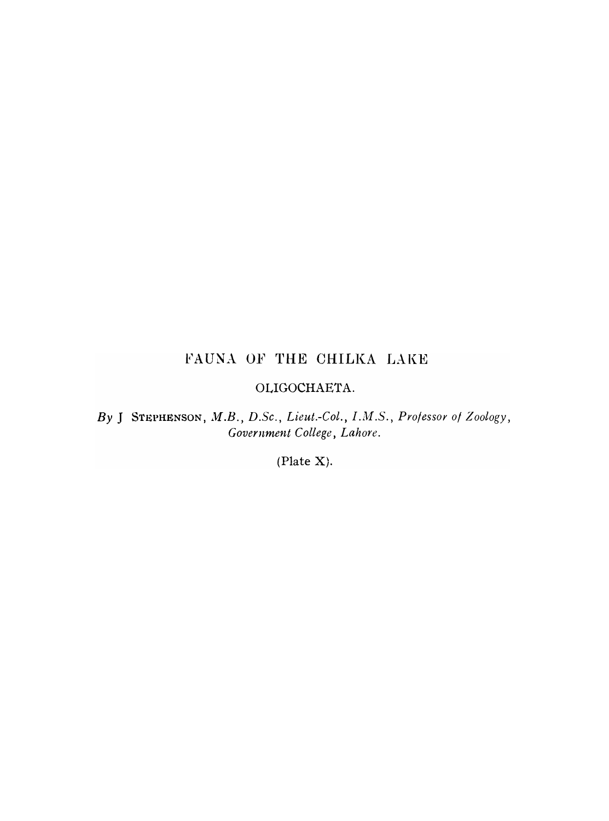## FAUNA OF THE CHILKA LAKE

#### OLIGOCHAETA.

By J STEPHENSON, M.B., D.Sc., Lieut.-Col., I.M.S., Professor of Zoology, *Government College, Lahore.* 

(Plate X).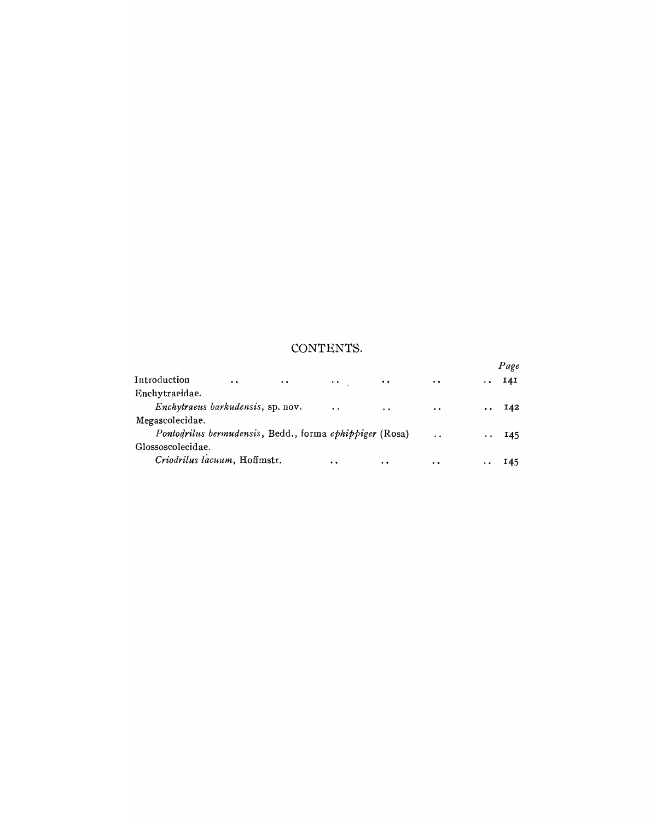### CONTENTS.

|                   |                                   |                                                         |                          |                     |                      |                 | Page         |
|-------------------|-----------------------------------|---------------------------------------------------------|--------------------------|---------------------|----------------------|-----------------|--------------|
| Introduction      | $\bullet$                         | $\cdot$ $\cdot$ $\cdot$                                 | <b>Contract Contract</b> | $\cdots$            | $\ddot{\phantom{0}}$ | $\cdot$ $\cdot$ | 14I          |
| Enchytraeidae.    |                                   |                                                         |                          |                     |                      |                 |              |
|                   | Enchytraeus barkudensis, sp. nov. |                                                         | $\ddot{\phantom{a}}$     | $\cdot$ .           | $\cdots$             |                 | $\ldots$ 142 |
| Megascolecidae.   |                                   |                                                         |                          |                     |                      |                 |              |
|                   |                                   | Pontodrilus bermudensis, Bedd., forma ephippiger (Rosa) |                          |                     | $\ddot{\phantom{0}}$ |                 | $\cdots$ 145 |
| Glossoscolecidae. |                                   |                                                         |                          |                     |                      |                 |              |
|                   | Criodrilus lacuum, Hoffmstr.      |                                                         | $\bullet$                | $\bullet$ $\bullet$ | $\bullet$            |                 | 145          |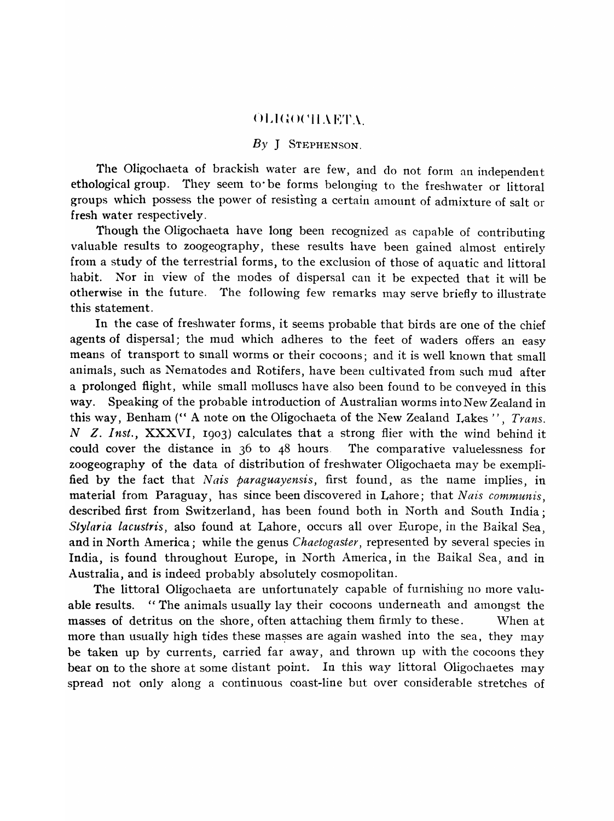#### $-$  OLIGOCHAETA $-$

#### *By* J STEPHENSON.

The Oligochaeta of brackish water are few, and do not form an independent ethological group. They seem to· be forms belonging to the freshwater or littoral groups which possess the power of resisting a certain amount of admixture of salt or fresh water respectively.

Though the Oligochaeta have long been recognized as capahle of contributing valuable results to zoogeography, these results have been gained almost entirely from a study of the terrestrial forms, to the exclusion of those of aquatic and littoral habit. Nor in view of the modes of dispersal can it be expected that it will be otherwise in the future. The following few remarks may serve briefly to illustrate this statement.

In the case of freshwater forms, it seems probable that birds are one of the chief agents of dispersal; the mud which adheres to the feet of waders offers an easy means of transport to small worms or their cocoons; and it is well known that small animals, such as Nematodes and Rotifers, have been cultivated from such mud after a prolonged flight, while small molluscs have also been found to be conveyed in this way. Speaking of the probable introduction of Australian worms into New Zealand in this way, Benham (" A note on the Oligochaeta of the New Zealand Lakes", *Trans. N Z. Inst., XXXVI, 1903)* calculates that a strong flier with the wind behind it could cover the distance in 36 to 48 hours. The comparative valuelessness for zoogeography of the data of distribution of freshwater Oligochaeta may be exemplified by the fact that *Nais paraguayensis*, first found, as the name implies, in material from Paraguay, has since been discovered in Lahore; that *Nais communis*, described first from Switzerland, has been found both in North and South India; *Stylaria lacustris,* also found at Lahore, occurs all over Europe, in the Baikal Sea, and in North America; while the genus *Chaetogaster,* represented by several species in India, is found throughout Europe, in North America, in the Baikal Sea, and in Australia, and is indeed probably absolutely cosmopolitan.

The littoral Oligochaeta are unfortunately capable of furnishing no more valuable results. "The animals usually lay their cocoons underneath and amongst the masses of detritus on the shore, often attaching them firmly to these. When at more than usually high tides these masses are again washed into the sea, they may be taken up by currents, carried far away, and thrown up with the cocoons they bear on to the shore at some distant point. In this way littoral Oligochaetes may spread not only along a continuous coast-line but over considerable stretches of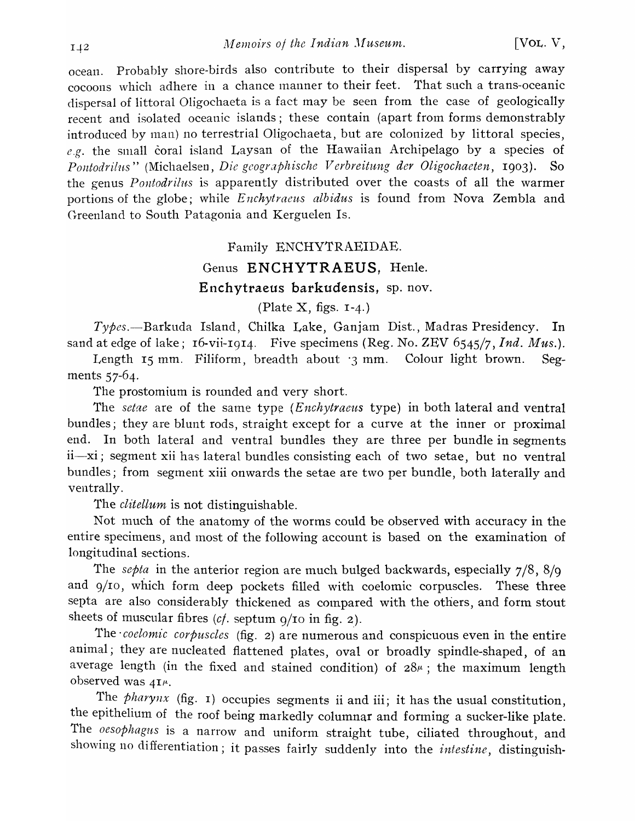ocean. Probably shore-birds also contribute to their dispersal by carrying away cocoons which adhere in a chance manner to their feet. That such a trans-oceanic dispersal of littoral Oligochaeta is a fact may be seen from the case of geologically recent and isolated oceanic islands; these contain (apart from forms demonstrably introduced by man) no terrestrial Oligochaeta, but are colonized by littoral species, e.g. the small coral island Laysan of the Hawaiian Archipelago by a species of *Pontodrilus*" (Michaelsen, *Die geographische Verbreitung der Oligochaeten*, 1903). So the genus *Pontodrilus* is apparently distributed over the coasts of all the warmer portions of the globe; while *Enchytraeus albidus* is found from Nova Zembla and Greenland to South Patagonia and Kerguelen Is.

#### Family ENCHYTRAEIDAE.

## Genus **ENCHYTRAEUS,** Henle. Enchytraeus barkudensis, sp. nov.

#### (Plate  $X$ , figs.  $I-4$ .)

*Types.-Barkuda* Island, Chilka Lake, Ganjam Dist., Madras Presidency. In sand at edge of lake; 16-vii-IgI4. Five specimens (Reg. No. ZEV 6545/7, *Ind. Mus.).* 

Length 15 mm. Filiform, breadth about '3 mm. Colour light brown. Segments 57-64.

The prostomium is rounded and very short.

The *setae* are of the same type (*Enchytraeus* type) in both lateral and ventral bundles; they are blunt rods, straight except for a curve at the inner or proximal end. In both lateral and ventral bundles they are three per bundle in segments ii-xi; segment xii has lateral bundles consisting each of two setae, but no ventral bundles; from segment xiii onwards the setae are two per bundle, both laterally and ventrally.

The *clitellum* is not distinguishable.

Not much of the anatomy of the worms could be observed with accuracy in the entire specimens, and most of the following account is based on the examination of longitudinal sections.

The *septa* in the anterior region are much bulged backwards, especially 7/8, 8/9 and g/ro, which form deep pockets filled with coelomic corpuscles. These three septa are also considerably thickened as compared with the others, and form stout sheets of muscular fibres *(cf.* septum 9/10 in fig. 2).

The *coelomic corpuscles* (fig. 2) are numerous and conspicuous even in the entire animal; they are nucleated flattened plates, oval or broadly spindle-shaped, of an average length (in the fixed and stained condition) of  $28\mu$ ; the maximum length observed was  $4I^{\mu}$ .

The *pharynx* (fig. 1) occupies segments ii and iii; it has the usual constitution, the epithelium of the roof being markedly columnar and forming a sucker-like plate. The *oesophagus* is a narrow and uniform straight tube, ciliated throughout, and showing no differentiation; it passes fairly suddenly into the *intestine*, distinguish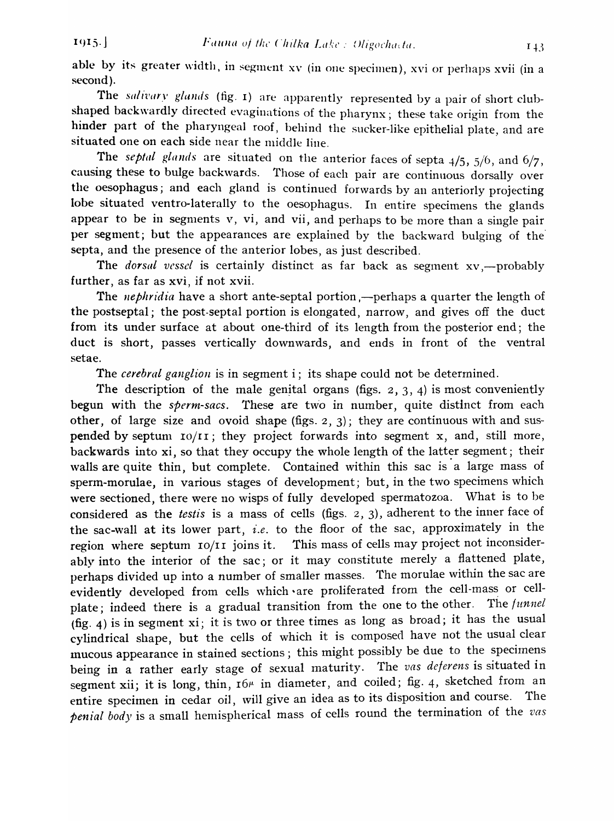able by its greater width, in segment xv (in one specimen), xvi or perhaps xvii (in a second).

The salivary glands (fig. 1) are apparently represented by a pair of short clubshaped backwardly directed evaginations of the pharynx; these take origin from the hinder part of the pharyngeal roof, behind the sucker-like epithelial plate, and are situated one on each side near the middle line.

The *septal glands* are situated on the anterior faces of septa 4/5, 5/6, and 6/7, causing these to bulge backwards. Those of each pair are continuous dorsally over the oesophagus; and each gland is continued forwards by an anteriorly projecting lobe situated ventro-Iaterally to the oesophagus. In entire specimens the glands appear to be in segments  $v$ ,  $vi$ , and  $vii$ , and perhaps to be more than a single pair per segment; but the appearances are explained by the backward bulging of the septa, and the presence of the anterior lobes, as just described.

The *dorsal vessel* is certainly distinct as far back as segment xv,-probably further, as far as xvi, if not xvii.

The *nephridia* have a short ante-septal portion ,—perhaps a quarter the length of the postseptal; the post-septal portion is elongated, narrow, and gives off the duct from its under surface at about one-third of its length from the posterior end; the duct is short, passes vertically downwards, and ends in front of the ventral setae.

The *cerebral ganglion* is in segment i; its shape could not be deterrnined.

The description of the male genital organs (figs.  $2, 3, 4$ ) is most conveniently begun with the *sperm-sacs.* These are two in number, quite distinct from each other, of large size and ovoid shape (figs. 2, 3); they are continuous with and suspended by septum  $I_0/I_I$ ; they project forwards into segment x, and, still more, backwards into xi, so that they occupy the whole length of the latter segment; their walls are quite thin, but complete. Contained within this sac is a large mass of sperm-morulae, in various stages of development; but, in the two specimens which were sectioned, there were no wisps of fully developed spermatozoa. What is to be considered as the *testis* is a mass of cells (figs. 2, 3), adherent to the inner face of the sac-wall at its lower part, *i.e.* to the floor of the sac, approximately in the region where septum 10/11 joins it. This mass of cells may project not inconsiderably into the interior of the sac; or it may constitute merely a flattened plate, perhaps divided up into a number of smaller masses. The morulae within the sac are evidently developed from cells which are proliferated from the cell-mass or cellplate; indeed there is a gradual transition from the one to the other. The *funnel*  (fig. 4) is in segment xi; it is two or three times as long as broad; it has the usual cylindrical shape, but the cells of which it is composed have not the usual clear mucous appearance in stained sections; this might possibly be due to the specirnens being in a rather early stage of sexual maturity. The *vas deferens* is situated in segment xii; it is long, thin,  $I6\mu$  in diameter, and coiled; fig. 4, sketched from an entire specimen in cedar oil, will give an idea as to its disposition and course. The *penial body* is a small hemispherical mass of cells round the termination of the *vas*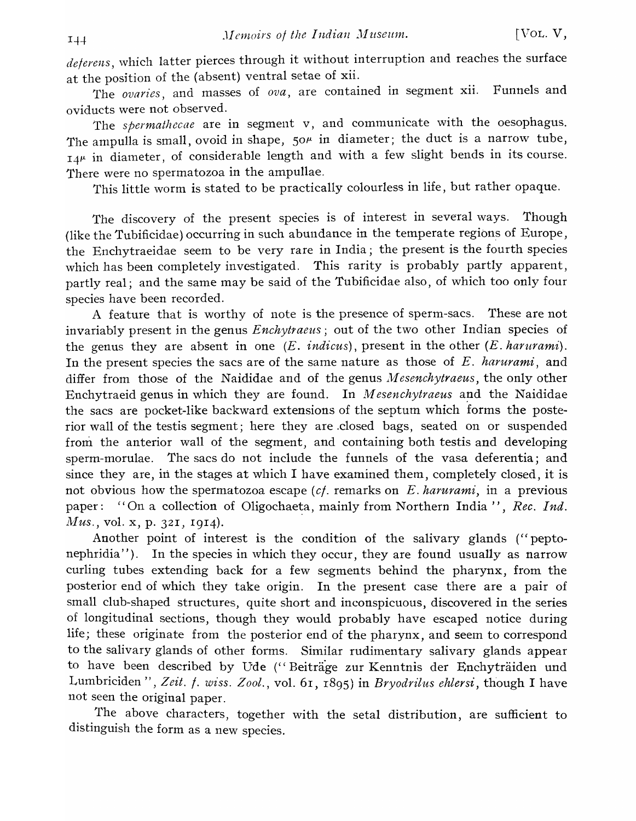*dejerens,* which latter pierces through it without interruption and reaches the surface at the position of the (absent) ventral setae of xii.

The *ovaries,* and masses of *ova,* are contained in segment xii. Funnels and oviducts were not observed.

The *spermathecae* are in segment v, and communicate with the oesophagus. The ampulla is small, ovoid in shape,  $50^{\mu}$  in diameter; the duct is a narrow tube,  $14^{\mu}$  in diameter, of considerable length and with a few slight bends in its course. There were no spermatozoa in the ampullae.

This little worm is stated to be practically colourless in life, but rather opaque.

The discovery of the present species is of interest in several ways. Though (like the Tubificidae) occurring in such abundance in the temperate regions of Europe, the Enchytraeidae seem to be very rare in India; the present is the fourth species which has been completely investigated. This rarity is probably partly apparent, partly real; and the same may be said of the Tubificidae also, of which too only four species have been recorded.

A feature that is worthy of note is the presence of sperm-sacs. These are not invariably present in the genus *Enchytraeus;* out of the two other Indian species of the genus they are absent in one *(E. indicus),* present in the other *(E. harurami).*  In the present species the sacs are of the same nature as those of E. *harurami,* and differ from those of the Naididae and of the genus *Mesenchytraeus*, the only other Enchytraeid genus in which they are found. In *Mesenchytraeus* and the Naididae the sacs are pocket-like backward extensions of the septum which forms the posterior wall of the testis segment; here they are .closed bags, seated on or suspended from the anterior wall of the segment, and containing both testis and developing sperm-morulae. The sacs do not include the funnels of the vasa deferentia; and since they are, in the stages at which I have examined them, completely closed, it is not obvious how the spermatozoa escape *(c/.* remarks on *E. harurami,* in a previous paper: "On a collection of Oligochaeta, mainly from Northern India", *Rec. Ind. Mus.*, vol. x, p. 321, 1914).

Another point of interest is the condition of the salivary glands (" peptonephridia''). In the species in which they occur, they are found usually as narrow curling tubes extending back for a few segments behind the pharynx, from the posterior end of which they take origin. In the present case there are a pair of small club-shaped structures, quite short and inconspicuous, discovered in the series of longitudinal sections, though they would probably have escaped notice during life; these originate from the posterior end of the pharynx, and seem to correspond to the salivary glands of other forms. Similar rudimentary salivary glands appear to have been described by Ude ("Beiträge zur Kenntnis der Enchyträiden und Lumbriciden", Zeit. *f. wiss. Zool.*, vol. 61, 1895) in *Bryodrilus ehlersi*, though I have not seen the original paper.

The above characters, together with the setal distribution, are sufficient to distinguish the form as a new species.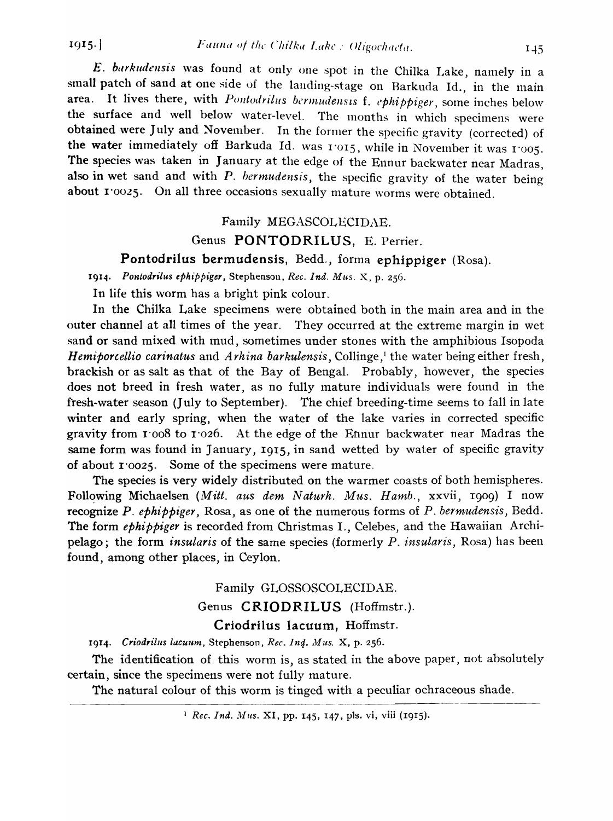$E.$  barkudensis was found at only one spot in the Chilka Lake, namely in a small patch of sand at one side of the landing-stage on Barkuda Id., in the main area. It lives there, with *Pontodrilus bermudensis f. ephi ppiger*, some inches below the surface and well below water-level. The months in which specimens were obtained were July and November. In the former the specific gravity (corrected) of the water immediately off Barkuda Id. was  $1'015$ , while in November it was  $1'005$ .<br>The species was taken in January at the edge of the Ennur backwater near Madras, also in wet sand and with *P. bermudensis*, the specific gravity of the water being about 1'0025. On all three occasions sexually mature worms were obtained.

# Family MEGASCOLECIDAE.

# Genus PONTODRILUS, E. Perrier.

Pontodrilus bermudensis, Bedd., forma ephippiger (Rosa).

1914. Pontodrilus ephippiger, Stephenson, *Rec. Ind. Mus. X*, p. 256.

In life this worm has a bright pink colour.

In the Chilka Lake specimens were obtained both in the main area and in the outer channel at all times of the year. They occurred at the extreme margin in wet sand or sand mixed with mud, sometimes under stones with the amphibious Isopoda *Hemiporcellio carinatus* and *Arhina barkulensis*, Collinge,<sup>1</sup> the water being either fresh, brackish or as salt as that of the Bay of Bengal. Probably, however, the species does not breed in fresh water, as no fully mature individuals were found in the fresh-water season (July to September). The chief breeding-time seems to fall in late winter and early spring, when the water of the lake varies in corrected specific gravity from  $1'008$  to  $1'026$ . At the edge of the Etnur backwater near Madras the same form was found in January, 1915, in sand wetted by water of specific gravity of about 1'0025. Some of the specimens were mature.

The species is very widely distributed on the warmer coasts of both hemispheres. Following Michaelsen *(Mitt. aus dem Naturh. Mus. Hamb.*, xxvii, 1909) I now recognize P. *ephippiger,* Rosa, as one of the numerous forms of *P. bermudensis,* Bedd. The form *ephippiger* is recorded from Christmas I., Celebes, and the Hawaiian Archipelago; the form *insularis* of the same species (formerly *P. insularis*, Rosa) has been found, among other places, in Ceylon.

> Family GLOSSOSCOLECIDAE. Genus CRIODRILUS (Hoffmstr.). Criodrilus lacuum, Hoffmstr.

1914. Criodrilus lacuum, Stephenson, *Rec. Ind. Mus.* X, p. 256.

The identification of this worm is, as stated in the above paper, not absolutely certain, since the specimens were not fully mature.

The natural colour of this worm is tinged with a peculiar ochraceous shade.

<sup>1</sup> Rec. Ind. Mus. XI, pp. 145, 147, pls. vi, viii (1915).